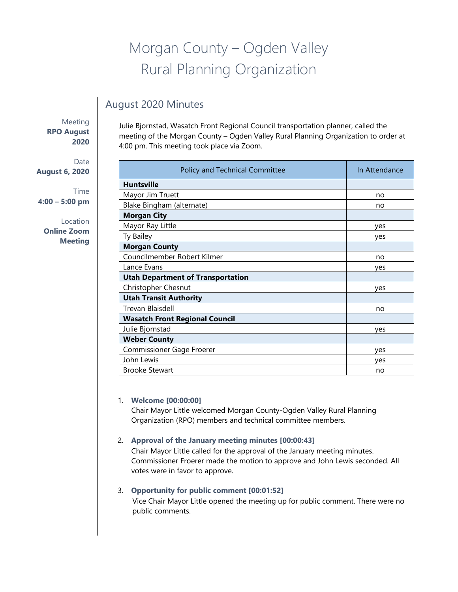# Morgan County – Ogden Valley Rural Planning Organization

## August 2020 Minutes

Meeting **RPO August 2020** 

Date **August 6, 2020** 

Time **4:00 – 5:00 pm**

Location **Online Zoom Meeting**

Julie Bjornstad, Wasatch Front Regional Council transportation planner, called the meeting of the Morgan County – Ogden Valley Rural Planning Organization to order at 4:00 pm. This meeting took place via Zoom.

| Policy and Technical Committee           | In Attendance |
|------------------------------------------|---------------|
| <b>Huntsville</b>                        |               |
| Mayor Jim Truett                         | no            |
| Blake Bingham (alternate)                | no            |
| <b>Morgan City</b>                       |               |
| Mayor Ray Little                         | ves           |
| Ty Bailey                                | ves           |
| <b>Morgan County</b>                     |               |
| Councilmember Robert Kilmer              | no            |
| Lance Evans                              | yes           |
| <b>Utah Department of Transportation</b> |               |
| Christopher Chesnut                      | yes           |
| <b>Utah Transit Authority</b>            |               |
| Trevan Blaisdell                         | no            |
| <b>Wasatch Front Regional Council</b>    |               |
| Julie Bjornstad                          | ves           |
| <b>Weber County</b>                      |               |
| Commissioner Gage Froerer                | yes           |
| John Lewis                               | ves           |
| <b>Brooke Stewart</b>                    | no            |

#### 1. **Welcome [00:00:00]**

Chair Mayor Little welcomed Morgan County-Ogden Valley Rural Planning Organization (RPO) members and technical committee members.

#### 2. **Approval of the January meeting minutes [00:00:43]**

Chair Mayor Little called for the approval of the January meeting minutes. Commissioner Froerer made the motion to approve and John Lewis seconded. All votes were in favor to approve.

### 3. **Opportunity for public comment [00:01:52]**

Vice Chair Mayor Little opened the meeting up for public comment. There were no public comments.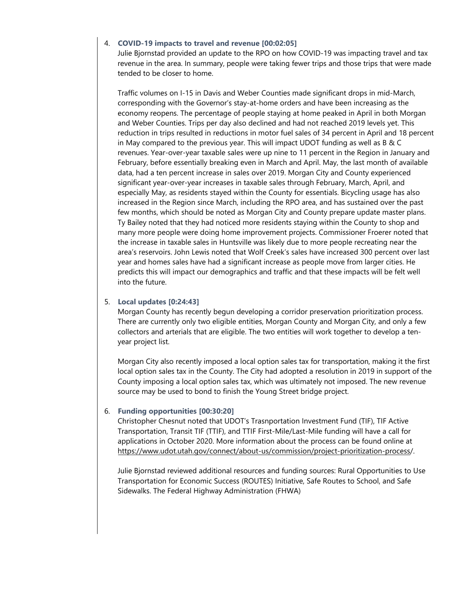#### 4. **COVID-19 impacts to travel and revenue [00:02:05]**

Julie Bjornstad provided an update to the RPO on how COVID-19 was impacting travel and tax revenue in the area. In summary, people were taking fewer trips and those trips that were made tended to be closer to home.

Traffic volumes on I-15 in Davis and Weber Counties made significant drops in mid-March, corresponding with the Governor's stay-at-home orders and have been increasing as the economy reopens. The percentage of people staying at home peaked in April in both Morgan and Weber Counties. Trips per day also declined and had not reached 2019 levels yet. This reduction in trips resulted in reductions in motor fuel sales of 34 percent in April and 18 percent in May compared to the previous year. This will impact UDOT funding as well as B & C revenues. Year-over-year taxable sales were up nine to 11 percent in the Region in January and February, before essentially breaking even in March and April. May, the last month of available data, had a ten percent increase in sales over 2019. Morgan City and County experienced significant year-over-year increases in taxable sales through February, March, April, and especially May, as residents stayed within the County for essentials. Bicycling usage has also increased in the Region since March, including the RPO area, and has sustained over the past few months, which should be noted as Morgan City and County prepare update master plans. Ty Bailey noted that they had noticed more residents staying within the County to shop and many more people were doing home improvement projects. Commissioner Froerer noted that the increase in taxable sales in Huntsville was likely due to more people recreating near the area's reservoirs. John Lewis noted that Wolf Creek's sales have increased 300 percent over last year and homes sales have had a significant increase as people move from larger cities. He predicts this will impact our demographics and traffic and that these impacts will be felt well into the future.

#### 5. **Local updates [0:24:43]**

Morgan County has recently begun developing a corridor preservation prioritization process. There are currently only two eligible entities, Morgan County and Morgan City, and only a few collectors and arterials that are eligible. The two entities will work together to develop a tenyear project list.

Morgan City also recently imposed a local option sales tax for transportation, making it the first local option sales tax in the County. The City had adopted a resolution in 2019 in support of the County imposing a local option sales tax, which was ultimately not imposed. The new revenue source may be used to bond to finish the Young Street bridge project.

#### 6. **Funding opportunities [00:30:20]**

Christopher Chesnut noted that UDOT's Trasnportation Investment Fund (TIF), TIF Active Transportation, Transit TIF (TTIF), and TTIF First-Mile/Last-Mile funding will have a call for applications in October 2020. More information about the process can be found online at https://www.udot.utah.gov/connect/about-us/commission/project-prioritization-process/.

Julie Bjornstad reviewed additional resources and funding sources: Rural Opportunities to Use Transportation for Economic [Success \(ROUTES\)](https://www.udot.utah.gov/connect/about-us/commission/project-prioritization-process) Initiative, Safe Routes to School, and Safe Sidewalks. [The Federal](https://www.udot.utah.gov/connect/about-us/commission/project-prioritization-process) Highway Administration (FHWA)